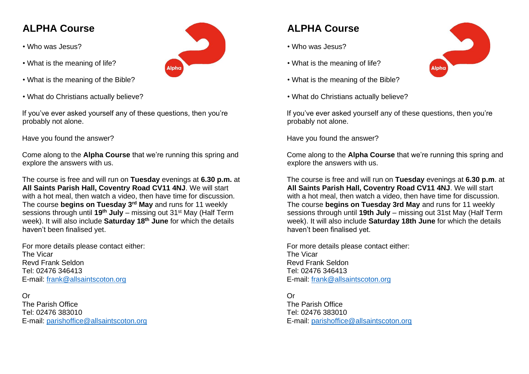## **ALPHA Course**

- Who was Jesus?
- What is the meaning of life?
- What is the meaning of the Bible?
- What do Christians actually believe?

If you've ever asked yourself any of these questions, then you're probably not alone.

Have you found the answer?

Come along to the **Alpha Course** that we're running this spring and explore the answers with us.

The course is free and will run on **Tuesday** evenings at **6.30 p.m.** at **All Saints Parish Hall, Coventry Road CV11 4NJ**. We will start with a hot meal, then watch a video, then have time for discussion. The course **begins on Tuesday 3rd May** and runs for 11 weekly sessions through until **19th July** – missing out 31st May (Half Term week). It will also include **Saturday 18th June** for which the details haven't been finalised yet.

For more details please contact either: The Vicar Revd Frank Seldon Tel: 02476 346413 E-mail: [frank@allsaintscoton.org](mailto:frank@allsaintscoton.org) 

## Or

The Parish Office Tel: 02476 383010 E-mail: [parishoffice@allsaintscoton.org](mailto:parishoffice@allsaintscoton.org)



## **ALPHA Course**

- Who was Jesus?
- What is the meaning of life?
- What is the meaning of the Bible?
- What do Christians actually believe?

If you've ever asked yourself any of these questions, then you're probably not alone.

Have you found the answer?

Come along to the **Alpha Course** that we're running this spring and explore the answers with us.

The course is free and will run on **Tuesday** evenings at **6.30 p.m**. at **All Saints Parish Hall, Coventry Road CV11 4NJ**. We will start with a hot meal, then watch a video, then have time for discussion. The course **begins on Tuesday 3rd May** and runs for 11 weekly sessions through until **19th July** – missing out 31st May (Half Term week). It will also include **Saturday 18th June** for which the details haven't been finalised yet.

For more details please contact either: The Vicar Revd Frank Seldon Tel: 02476 346413 E-mail: [frank@allsaintscoton.org](mailto:frank@allsaintscoton.org) 

Or

The Parish Office Tel: 02476 383010 E-mail: [parishoffice@allsaintscoton.org](mailto:parishoffice@allsaintscoton.org)